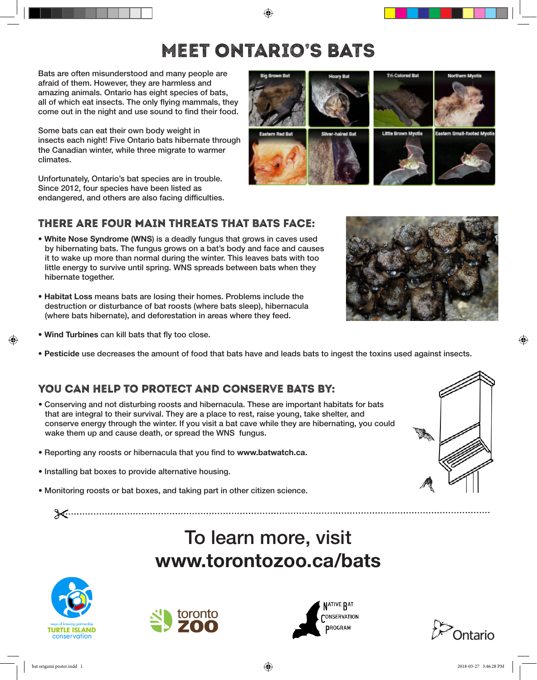## Meet Ontario's BATs

Bats are often misunderstood and many people are afraid of them. However, they are harmless and amazing animals. Ontario has eight species of bats, all of which eat insects. The only flying mammals, they come out in the night and use sound to find their food.

Some bats can eat their own body weight in insects each night! Five Ontario bats hibernate through the Canadian winter, while three migrate to warmer climates.

Unfortunately, Ontario's bat species are in trouble. Since 2012, four species have been listed as endangered, and others are also facing difficulties.

## There are four main threats that bats face:

- White Nose Syndrome (WNS) is a deadly fungus that grows in caves used by hibernating bats. The fungus grows on a bat's body and face and causes it to wake up more than normal during the winter. This leaves bats with too little energy to survive until spring. WNS spreads between bats when they hibernate together.
- Habitat Loss means bats are losing their homes. Problems include the destruction or disturbance of bat roosts (where bats sleep), hibernacula (where bats hibernate), and deforestation in areas where they feed.
- Wind Turbines can kill bats that fly too close.
- Pesticide use decreases the amount of food that bats have and leads bats to ingest the toxins used against insects.

## You can help to protect and conserve bats by:

- Conserving and not disturbing roosts and hibernacula. These are important habitats for bats that are integral to their survival. They are a place to rest, raise young, take shelter, and conserve energy through the winter. If you visit a bat cave while they are hibernating, you could wake them up and cause death, or spread the WNS fungus.
- Reporting any roosts or hibernacula that you find to www.batwatch.ca.
- Installing bat boxes to provide alternative housing.
- Monitoring roosts or bat boxes, and taking part in other citizen science.

## To learn more, visit www.torontozoo.ca/bats